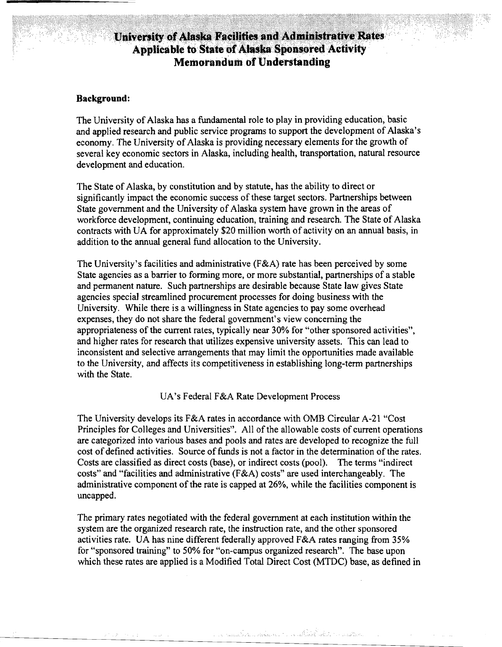# University of Alaska Facilities and Administrative Rates Applicable to State of Alaska Sponsored Activity **Memorandum of Understanding**

#### **Background:**

The University of Alaska has a fundamental role to play in providing education, basic and applied research and public service programs to support the development of Alaska's economy. The University of Alaska is providing necessary elements for the growth of several key economic sectors in Alaska, including health, transportation, natural resource development and education.

The State of Alaska, by constitution and by statute, has the ability to direct or significantly impact the economic success of these target sectors. Partnerships between State government and the University of Alaska system have grown in the areas of workforce development, continuing education, training and research. The State of Alaska contracts with UA for approximately \$20 million worth of activity on an annual basis, in addition to the annual general fund allocation to the University.

The University's facilities and administrative (F&A) rate has been perceived by some State agencies as a barrier to fonning more, or more substantial, partnerships of a stable and permanent nature. Such partnerships are desirable because State law gives State agencies special streamlined procurement processes for doing business with the University. While there is a willingness in State agencies to pay some overhead expenses, they do not share the federal government's view concerning the appropriateness of the current rates, typically near 30% for "other sponsored activities", and higher rates for research that utilizes expensive university assets. This can lead to inconsistent and selective arrangements that may limit the opportunities made available to the University, and affects its competitiveness in establishing long-tenn partnerships with the State.

UA's Federal F&A Rate Development Process

The University develops its F&A rates in accordance with OMB Circular A-21 "Cost Principles for Colleges and Universities". All of the allowable costs of current operations are categorized into various bases and pools and rates are developed to recognize the full cost of defined activities. Source of funds is not a factor in the determination of the rates. Costs are classified as direct costs (base), or indirect costs (pool). The terms "indirect costs" and "facilities and administrative  $(F\&A)$  costs" are used interchangeably. The administrative component of the rate is capped at 26%, while the facilities component is uncapped.

The primary rates negotiated with the federal government at each institution within the system are the organized research rate, the instruction rate, and the other sponsored activities rate. VA has nine different federally approved F&A rates ranging from 35% for "sponsored training" to 50% for "on-campus organized research". The base upon which these rates are applied is a Modified Total Direct Cost (MTDC) base, as defined in

a a complete de la production de la completation de la completation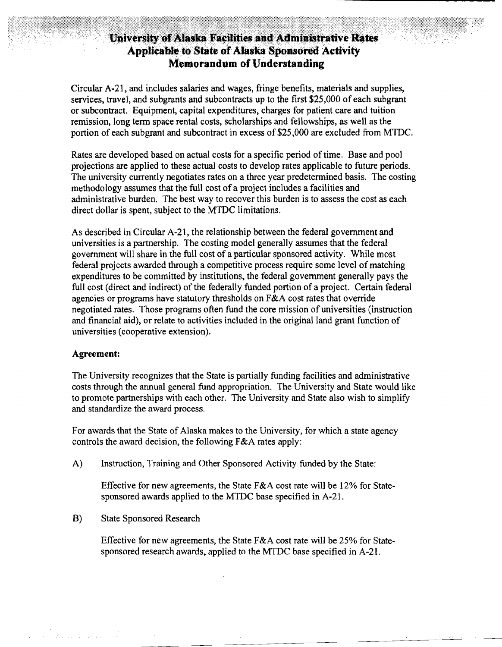### University of Alaska Facilities and Administrative Rates Applicable to State of Alaska Sponsored Activity **Memorandum of Understanding**

Circular A-21, and includes salaries and wages, fringe benefits, materials and supplies, services, travel, and subgrants and subcontracts up to the first \$25,000 of each subgrant or subcontract. Equipment, capital expenditures, charges for patient care and tuition remission, long term space rental costs, scholarships and fellowships, as well as the portion of each subgrant and subcontract in excess of \$25,000 are excluded from MTDC.

Rates are developed based on actual costs for a specific period of time. Base and pool projections are applied to these actual costs to develop rates applicable to future periods. The university currently negotiates rates on a three year predetermined basis. The costing methodology assumes that the full cost of a project includes a facilities and administrative burden. The best way to recover this burden is to assess the cost as each direct dollar is spent, subject to the MTDC limitations.

As described in Circular A-21, the relationship between the federal government and universities is a partnership. The costing model generally assumes that the federal government will share in the full cost of a particular sponsored activity. While most federal projects awarded through a competitive process require some level of matching expenditures to be committed by institutions, the federal government generally pays the full cost (direct and indirect) of the federally funded portion of a project. Certain federal agencies or programs have statutory thresholds on  $F\&A$  cost rates that override negotiated rates. Those programs often fund the core mission of universities (instruction and financial aid), or relate to activities included in the original land grant function of universities (cooperative extension).

#### **Agreement:**

.<br>2007 - Antonio III, mareka

The University recognizes that the State is partially funding facilities and administrative costs through the annual general fund appropriation. The University and State would like to promote partnerships with each other. The University and State also wish to simplify and standardize the award process.

For awards that the State of Alaska makes to the University, for which a state agency controls the award decision, the following F&A rates apply:

A) Instruction, Training and Other Sponsored Activity funded by the State:

Effective for new agreements, the State F&A cost rate will be 12% for Statesponsored awards applied to the MTDC base specified in A-21.

B) State Sponsored Research

Effective for new agreements, the State F&A cost rate will be 25% for Statesponsored research awards, applied to the MTDC base specified in A-21.